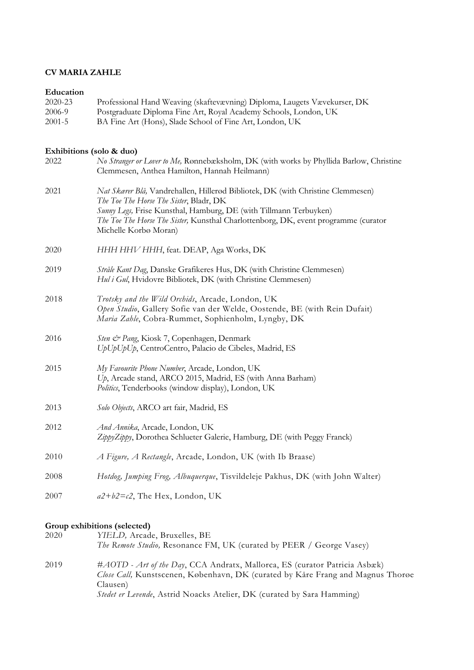## **CV MARIA ZAHLE**

## **Education**

| 2020-23<br>2006-9<br>$2001 - 5$ | Professional Hand Weaving (skaftevævning) Diploma, Laugets Vævekurser, DK<br>Postgraduate Diploma Fine Art, Royal Academy Schools, London, UK<br>BA Fine Art (Hons), Slade School of Fine Art, London, UK                                                                                                       |
|---------------------------------|-----------------------------------------------------------------------------------------------------------------------------------------------------------------------------------------------------------------------------------------------------------------------------------------------------------------|
| Exhibitions (solo & duo)        |                                                                                                                                                                                                                                                                                                                 |
| 2022                            | No Stranger or Lover to Me, Rønnebæksholm, DK (with works by Phyllida Barlow, Christine<br>Clemmesen, Anthea Hamilton, Hannah Heilmann)                                                                                                                                                                         |
| 2021                            | Nat Skarer Blå, Vandrehallen, Hillerød Bibliotek, DK (with Christine Clemmesen)<br>The Toe The Horse The Sister, Bladr, DK<br>Sunny Legs, Frise Kunsthal, Hamburg, DE (with Tillmann Terbuyken)<br>The Toe The Horse The Sister, Kunsthal Charlottenborg, DK, event programme (curator<br>Michelle Korbø Moran) |
| 2020                            | HHH HHV HHH, feat. DEAP, Aga Works, DK                                                                                                                                                                                                                                                                          |
| 2019                            | Stråle Kant Dag, Danske Grafikeres Hus, DK (with Christine Clemmesen)<br>Hul i Gul, Hvidovre Bibliotek, DK (with Christine Clemmesen)                                                                                                                                                                           |
| 2018                            | Trotsky and the Wild Orchids, Arcade, London, UK<br>Open Studio, Gallery Sofie van der Welde, Oostende, BE (with Rein Dufait)<br>Maria Zahle, Cobra-Rummet, Sophienholm, Lyngby, DK                                                                                                                             |
| 2016                            | Sten & Pang, Kiosk 7, Copenhagen, Denmark<br>UpUpUpUp, CentroCentro, Palacio de Cibeles, Madrid, ES                                                                                                                                                                                                             |
| 2015                            | My Favourite Phone Number, Arcade, London, UK<br>Up, Arcade stand, ARCO 2015, Madrid, ES (with Anna Barham)<br>Politics, Tenderbooks (window display), London, UK                                                                                                                                               |
| 2013                            | Solo Objects, ARCO art fair, Madrid, ES                                                                                                                                                                                                                                                                         |
| 2012                            | And Annika, Arcade, London, UK<br>ZippyZippy, Dorothea Schlueter Galerie, Hamburg, DE (with Peggy Franck)                                                                                                                                                                                                       |
| 2010                            | A Figure, A Rectangle, Arcade, London, UK (with Ib Braase)                                                                                                                                                                                                                                                      |
| 2008                            | Hotdog, Jumping Frog, Albuquerque, Tisvildeleje Pakhus, DK (with John Walter)                                                                                                                                                                                                                                   |
| 2007                            | $a2+b2=c2$ , The Hex, London, UK                                                                                                                                                                                                                                                                                |

## **Group exhibitions (selected)**

| 2020 | YIELD, Arcade, Bruxelles, BE<br>The Remote Studio, Resonance FM, UK (curated by PEER / George Vasey)                                                                                                                                                |
|------|-----------------------------------------------------------------------------------------------------------------------------------------------------------------------------------------------------------------------------------------------------|
| 2019 | #AOTD - Art of the Day, CCA Andratx, Mallorca, ES (curator Patricia Asbæk)<br>Close Call, Kunstscenen, København, DK (curated by Kåre Frang and Magnus Thoroe<br>Clausen)<br>Stedet er Levende, Astrid Noacks Atelier, DK (curated by Sara Hamming) |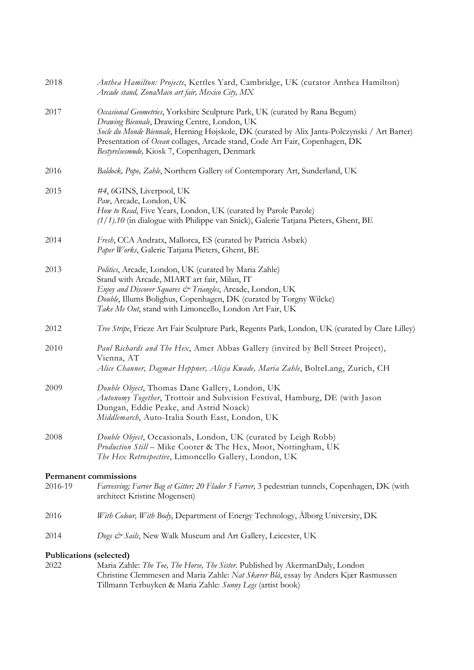| 2018                           | Anthea Hamilton: Projects, Kettles Yard, Cambridge, UK (curator Anthea Hamilton)<br>Arcade stand, ZonaMaco art fair, Mexico City, MX                                                                                                                                                                                                                         |
|--------------------------------|--------------------------------------------------------------------------------------------------------------------------------------------------------------------------------------------------------------------------------------------------------------------------------------------------------------------------------------------------------------|
| 2017                           | Occasional Geometries, Yorkshire Sculpture Park, UK (curated by Rana Begum)<br>Drawing Biennale, Drawing Centre, London, UK<br>Socle du Monde Biennale, Herning Højskole, DK (curated by Alix Janta-Polczynski / Art Barter)<br>Presentation of Ocean collages, Arcade stand, Code Art Fair, Copenhagen, DK<br>Bestyrelsesmøde, Kiosk 7, Copenhagen, Denmark |
| 2016                           | Baldock, Pope, Zahle, Northern Gallery of Contemporary Art, Sunderland, UK                                                                                                                                                                                                                                                                                   |
| 2015                           | #4, 6GINS, Liverpool, UK<br>Paw, Arcade, London, UK<br>How to Read, Five Years, London, UK (curated by Parole Parole)<br>$(1/1)$ .10 (in dialogue with Philippe van Snick), Galerie Tatjana Pieters, Ghent, BE                                                                                                                                               |
| 2014                           | Fresh, CCA Andratx, Mallorca, ES (curated by Patricia Asbæk)<br>Paper Works, Galerie Tatjana Pieters, Ghent, BE                                                                                                                                                                                                                                              |
| 2013                           | Politics, Arcade, London, UK (curated by Maria Zahle)<br>Stand with Arcade, MIART art fair, Milan, IT<br>Enjoy and Discover Squares & Triangles, Arcade, London, UK<br>Double, Illums Bolighus, Copenhagen, DK (curated by Torgny Wilcke)<br>Take Me Out, stand with Limoncello, London Art Fair, UK                                                         |
| 2012                           | Tree Stripe, Frieze Art Fair Sculpture Park, Regents Park, London, UK (curated by Clare Lilley)                                                                                                                                                                                                                                                              |
| 2010                           | Paul Richards and The Hex, Amer Abbas Gallery (invited by Bell Street Project),<br>Vienna, AT<br>Alice Channer, Dagmar Heppner, Alicja Kwade, Maria Zahle, BolteLang, Zurich, CH                                                                                                                                                                             |
| 2009                           | Double Object, Thomas Dane Gallery, London, UK<br>Autonomy Together, Trottoir and Subvision Festival, Hamburg, DE (with Jason<br>Dungan, Eddie Peake, and Astrid Noack)<br>Middlemarch, Auto-Italia South East, London, UK                                                                                                                                   |
| 2008                           | Double Object, Occasionals, London, UK (curated by Leigh Robb)<br>Production Still - Mike Cooter & The Hex, Moot, Nottingham, UK<br>The Hex Retrospective, Limoncello Gallery, London, UK                                                                                                                                                                    |
| <b>Permanent commissions</b>   |                                                                                                                                                                                                                                                                                                                                                              |
| 2016-19                        | Farvesving; Farver Bag et Gitter; 20 Flader 5 Farver, 3 pedestrian tunnels, Copenhagen, DK (with<br>architect Kristine Mogensen)                                                                                                                                                                                                                             |
| 2016                           | With Colour, With Body, Department of Energy Technology, Alborg University, DK                                                                                                                                                                                                                                                                               |
| 2014                           | Dogs & Sails, New Walk Museum and Art Gallery, Leicester, UK                                                                                                                                                                                                                                                                                                 |
| <b>Publications (selected)</b> |                                                                                                                                                                                                                                                                                                                                                              |
| 2022                           | Maria Zahle: The Toe, The Horse, The Sister. Published by AkermanDaly, London                                                                                                                                                                                                                                                                                |

Christine Clemmesen and Maria Zahle: *Nat Skærer Blå*, essay by Anders Kjær Rasmussen Tillmann Terbuyken & Maria Zahle: *Sunny Legs* (artist book)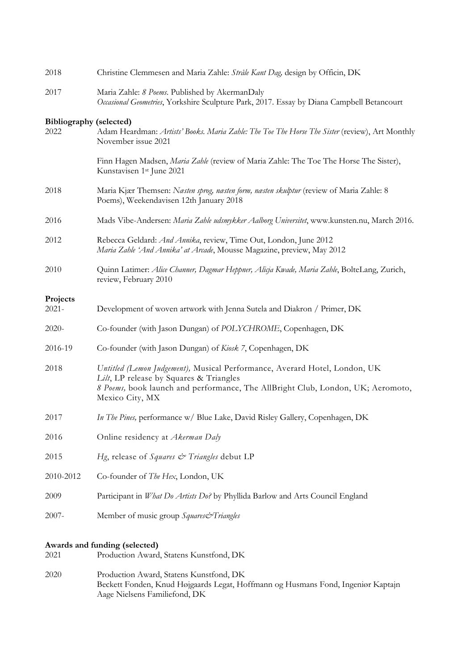| 2018                                                                             | Christine Clemmesen and Maria Zahle: Stråle Kant Dag, design by Officin, DK                                                                                                                                                 |
|----------------------------------------------------------------------------------|-----------------------------------------------------------------------------------------------------------------------------------------------------------------------------------------------------------------------------|
| 2017                                                                             | Maria Zahle: 8 Poems. Published by AkermanDaly<br>Occasional Geometries, Yorkshire Sculpture Park, 2017. Essay by Diana Campbell Betancourt                                                                                 |
| <b>Bibliography (selected)</b><br>2022                                           | Adam Heardman: Artists' Books. Maria Zahle: The Toe The Horse The Sister (review), Art Monthly<br>November issue 2021                                                                                                       |
|                                                                                  | Finn Hagen Madsen, Maria Zahle (review of Maria Zahle: The Toe The Horse The Sister),<br>Kunstavisen 1st June 2021                                                                                                          |
| 2018                                                                             | Maria Kjær Themsen: Nasten sprog, nasten form, nasten skulptur (review of Maria Zahle: 8<br>Poems), Weekendavisen 12th January 2018                                                                                         |
| 2016                                                                             | Mads Vibe-Andersen: Maria Zahle udsmykker Aalborg Universitet, www.kunsten.nu, March 2016.                                                                                                                                  |
| 2012                                                                             | Rebecca Geldard: And Annika, review, Time Out, London, June 2012<br>Maria Zahle 'And Annika' at Arcade, Mousse Magazine, preview, May 2012                                                                                  |
| 2010                                                                             | Quinn Latimer: Alice Channer, Dagmar Heppner, Alicja Kwade, Maria Zahle, BolteLang, Zurich,<br>review, February 2010                                                                                                        |
| Projects                                                                         |                                                                                                                                                                                                                             |
| $2021 -$                                                                         | Development of woven artwork with Jenna Sutela and Diakron / Primer, DK                                                                                                                                                     |
| $2020-$                                                                          | Co-founder (with Jason Dungan) of POLYCHROME, Copenhagen, DK                                                                                                                                                                |
| 2016-19                                                                          | Co-founder (with Jason Dungan) of Kiosk 7, Copenhagen, DK                                                                                                                                                                   |
| 2018                                                                             | Untitled (Lemon Judgement), Musical Performance, Averard Hotel, London, UK<br>Lilt, LP release by Squares & Triangles<br>8 Poems, book launch and performance, The AllBright Club, London, UK; Aeromoto,<br>Mexico City, MX |
| 2017                                                                             | In The Pines, performance w/ Blue Lake, David Risley Gallery, Copenhagen, DK                                                                                                                                                |
| 2016                                                                             | Online residency at Akerman Daly                                                                                                                                                                                            |
| 2015                                                                             | Hg, release of Squares & Triangles debut LP                                                                                                                                                                                 |
| 2010-2012                                                                        | Co-founder of The Hex, London, UK                                                                                                                                                                                           |
| 2009                                                                             | Participant in What Do Artists Do? by Phyllida Barlow and Arts Council England                                                                                                                                              |
| $2007 -$                                                                         | Member of music group Squares&Triangles                                                                                                                                                                                     |
| Awards and funding (selected)<br>Production Award, Statens Kunstfond, DK<br>2021 |                                                                                                                                                                                                                             |
| 2020                                                                             | Production Award, Statens Kunstfond, DK<br>Beckett Fonden, Knud Højgaards Legat, Hoffmann og Husmans Fond, Ingeniør Kaptajn<br>Aage Nielsens Familiefond, DK                                                                |